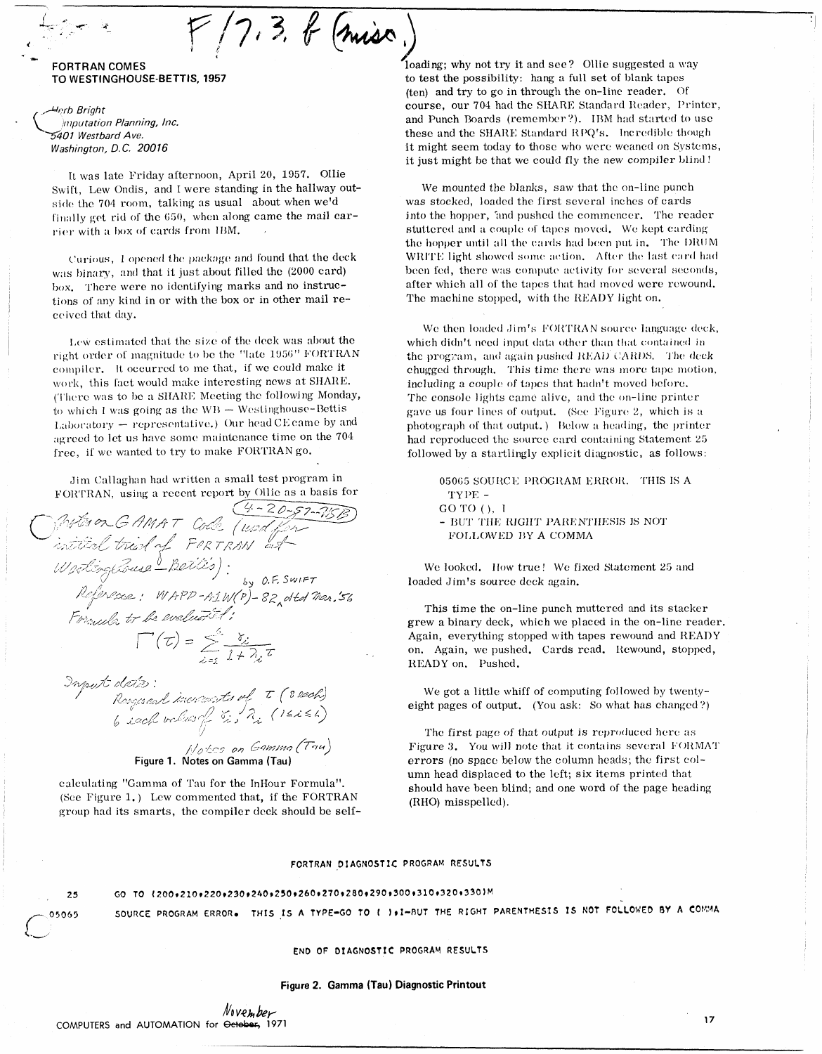#### **FORTRAN COMES** TO WESTINGHOUSE-BETTIS, 1957

Herb Briaht Imputation Planning, Inc. 5401 Westbard Ave. Washington, D.C. 20016

It was late Friday afternoon, April 20, 1957. Ollie Swift. Lew Ondis, and I were standing in the hallway outside the 704 room, talking as usual about when we'd finally get rid of the 650, when along came the mail carrier with a box of eards from IBM.

 $F/7.3.6$  (miss)

Curious, I opened the package and found that the deck was binary, and that it just about filled the (2000 card) box. There were no identifying marks and no instructions of any kind in or with the box or in other mail received that day.

Lew estimated that the size of the deck was about the right order of magnitude to be the "late 1956" FORTRAN compiler. It occurred to me that, if we could make it work, this fact would make interesting news at SHARE. (There was to be a SHARE Meeting the following Monday, to which I was going as the WB - Westinghouse-Bettis Laboratory - representative.) Our head CE came by and agreed to let us have some maintenance time on the 704 free, if we wanted to try to make FORTRAN go.

Jim Callaghan had written a small test program in FORTRAN, using a recent report by Ollie as a basis for

Protes on G AMAT Cole (und for a basis for<br>A fits on G AMAT Cole (und for<br>intitial trial of FORTRAN at<br>Westing Course Batitis):<br>Reference: WAPP-A1W(P)-82 dtd Mar.56<br>Formula to be evaluated:  $\Gamma(\tau) = \sum_{i=1}^{s} \frac{\delta_{i}}{1 + \lambda_{i}} \tau$ 

 $\begin{array}{lll} \mathcal{D}n \textit{post dist2:}\\ \mathcal{D}n \textit{post dist3:}\\ \mathcal{D}n \textit{post dist4:}\\ \mathcal{D}n \textit{post dist5:} \begin{cases} \mathcal{D}n \textit{post5:} \\ \mathcal{D}n \textit{post5:} \end{cases} \end{array} \begin{array}{lll} \mathcal{D}n \textit{post6:} \\ \mathcal{D}n \textit{post6:} \end{array} \begin{cases} \mathcal{D}n \textit{post6:} \\ \mathcal{D}n \textit{post6:} \end{cases}$ 



calculating "Gamma of Tau for the InHour Formula". (See Figure 1.) Lew commented that, if the FORTRAN group had its smarts, the compiler deck should be selfloading; why not try it and see? Ollie suggested a way to test the possibility: hang a full set of blank tapes (ten) and try to go in through the on-line reader. Of course, our 704 had the SHARE Standard Reader, Printer, and Punch Boards (remember?). IBM had started to use these and the SHARE Standard RPQ's. Incredible though it might seem today to those who were weaned on Systems, it just might be that we could fly the new compiler blind!

We mounted the blanks, saw that the on-line punch was stocked, loaded the first several inches of cards into the hopper, 'and pushed the commencer. The reader stuttered and a couple of tapes moved. We kept carding the hopper until all the cards had been put in. The DRUM WRITE light showed some action. After the last card had been fed, there was compute activity for several seconds, after which all of the tapes that had moved were rewound. The machine stopped, with the READY light on.

We then loaded Jim's FORTRAN source language deck, which didn't need input data other than that contained in the program, and again pushed READ CARDS. The deck chugged through. This time there was more tape motion, including a couple of tapes that hadn't moved before. The console lights came alive, and the on-line printer gave us four lines of output. (See Figure 2, which is a photograph of that output.) Below a heading, the printer had reproduced the source card containing Statement 25 followed by a startlingly explicit diagnostic, as follows:

05065 SOURCE PROGRAM ERROR. THIS IS A TYPE -GO TO (), I - BUT THE RIGHT PARENTHESIS IS NOT FOLLOWED BY A COMMA

We looked. How true! We fixed Statement 25 and loaded Jim's source deck again.

This time the on-line punch muttered and its stacker grew a binary deck, which we placed in the on-line reader. Again, everything stopped with tapes rewound and READY on. Again, we pushed. Cards read. Rewound, stopped, READY on, Pushed.

We got a little whiff of computing followed by twentyeight pages of output. (You ask: So what has changed?)

The first page of that output is reproduced here as Figure 3. You will note that it contains several FORMAT errors (no space below the column heads; the first column head displaced to the left; six items printed that should have been blind; and one word of the page heading (RHO) misspelled).

#### FORTRAN DIAGNOSTIC PROGRAM RESULTS

#### GO TO {200+210+220+230+240+250+250+260+270+280+290+300+310+320+330)M 25

SOURCE PROGRAM ERROR. THIS IS A TYPE-GO TO ( ).I-BUT THE RIGHT PARENTHESIS IS NOT FOLLOWED BY A COMMA

END OF DIAGNOSTIC PROGRAM RESULTS

#### Figure 2. Gamma (Tau) Diagnostic Printout

05065

 $17$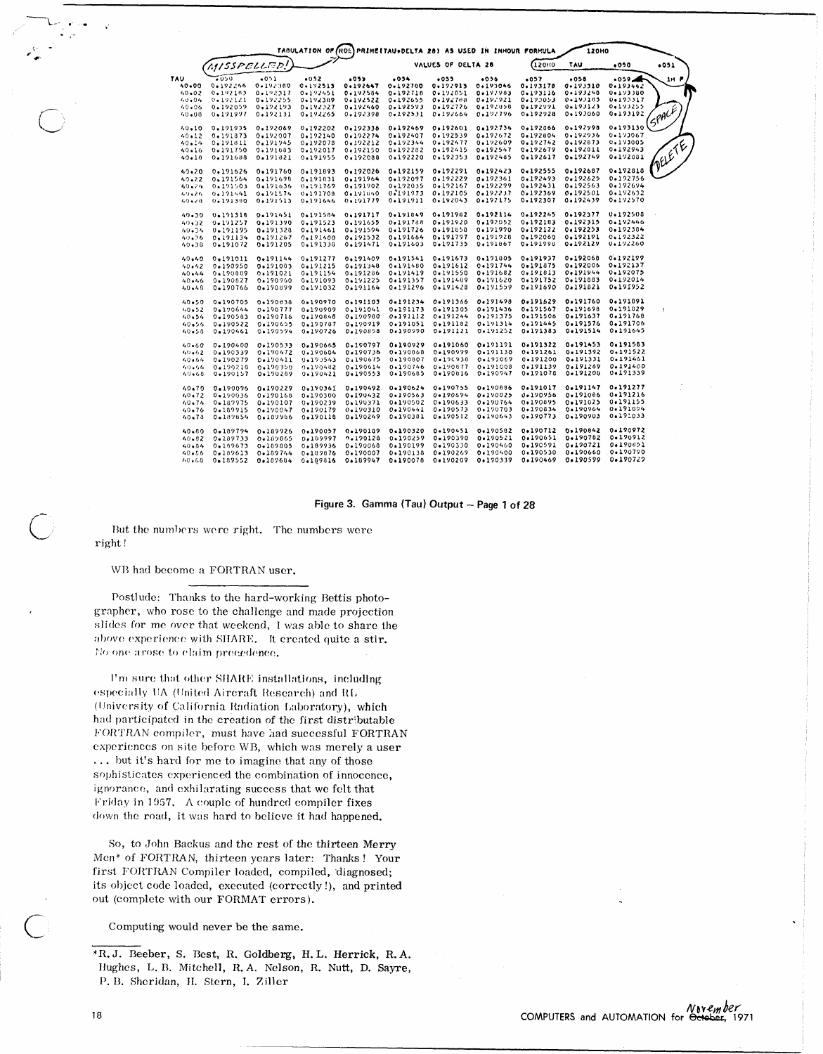|           |             |          |          |          | TABULATION OF (ROE) PRIMEITAU+DELTA 28) AS USED IN INHOUR FORMULA<br><b>120HO</b> |          |          |          |          |                 |                             |
|-----------|-------------|----------|----------|----------|-----------------------------------------------------------------------------------|----------|----------|----------|----------|-----------------|-----------------------------|
|           | MISSPELLED! |          |          |          | VALUES OF DELTA 28                                                                |          |          | 12010    | .050     | .051            |                             |
| TAU       | 6050        | $-0.1$   | 0.052    | .053     | .054                                                                              | $-0.55$  | 0.056    | .057     | .058     | $-0.59$ $-0.00$ | 1H F                        |
| 0.000     | 0.192246    | 0.19.300 | 0.192513 | 0.192647 | 0.192700                                                                          | 0.192913 | 0.193046 | 0.193178 | 0.193310 | $0.1934$ 92     |                             |
| 40.02     | 0.192183    | 0.192317 | 0.192451 | 0.192584 | $0 - 192716$                                                                      | 0.192851 | 0.192903 | 0.193116 | 0.193248 | 0.193380        |                             |
| 40.04     | 0.192121    | 0.192255 | 0.192389 | 0.192522 | 0.192655                                                                          | 0.192700 | 0.192921 | 0.193053 | 0-17-105 | 0.193317        |                             |
| 40.06     | 0.192059    | 0.192193 | 0.192327 | 0.192460 | 0.192593                                                                          | 0.192726 | 0.192858 | 0.192991 | 0.193123 | 0.193255        |                             |
| 40.08     | 0.191997    | 0.192131 | 0.192265 | 0.192398 | 0.192531                                                                          | 0.192664 | 0.192796 | 0.192928 | 0.193060 | 0.193192        | <i><b><i>ISPACE</i></b></i> |
| 40.10     | 0.191935    | 0.192069 | 0.192202 | 0.192336 | 0.192469                                                                          | 0.192601 | 0.192734 | 0.192066 | 0.192998 | 0.193130        |                             |
| 40.12     | 0.191873    | 0.192007 | 0.192140 | 0.192274 | 0.192407                                                                          | 0.192539 | 0.192672 | 0.192804 | 0.192936 | 0.193067        |                             |
| 40.14     | 0.191811    | 0.191945 | 0.192078 | 0,192212 | 0.192344                                                                          | 0.192477 | 0.192609 | 0.192742 | 0.192673 | 0.193005        |                             |
| 40.16     | 0.191750    | 0.191003 | 0.192017 | 0.192150 | 0.192282                                                                          | 0.192415 | 0.192547 | 0.192679 | 0.192811 | 0.192943        |                             |
| 40.10     | 0.191688    | 0.191821 | 0.191955 | 0.192088 | 0.192220                                                                          | 0.192353 | 0.192485 | 0.192617 | 0.192749 | 0.192881        |                             |
|           |             |          |          |          |                                                                                   |          |          |          |          |                 | <b>MELETE</b>               |
| $40 - 20$ | 0.191626    | 0.191760 | 0.191893 | 0.192026 | 0.192159                                                                          | 0.192291 | 0.192423 | 0.192555 | 0.192687 | 0.192818        |                             |
| 40.22     | 0.191564    | 0.191698 | 0.191831 | 0.191964 | 0.192097                                                                          | 0.192229 | 0.192361 | 0.192493 | 0.192625 | 0.192756        |                             |
| 40.24     | 0.191503    | 0.191636 | 0.191769 | 0.191902 | 0.192035                                                                          | 0.192167 | 0.192299 | 0.192431 | 0.192563 | 0.192694        |                             |
| 49.26     | 0.191441    | 0.191574 | 0.191708 | 0.191840 | 0.191973                                                                          | 0.192105 | 0.192237 | 0.192369 | 0.192501 | 0.192632        |                             |
| $40 - 20$ | 0.191380    | 0.191513 | 0.191646 | 0.191779 | 0.191911                                                                          | 0.192043 | 0.192175 | 0.192307 | 0.192439 | 0.192570        |                             |
| $49 - 30$ | 0.191316    | 0.191451 | 0.191584 | 0.191717 | 0.191849                                                                          | 0.191982 | 0.192114 | 0.192245 | 0.192377 | 0.192500        |                             |
| 40,32     | 0.191257    | 0.191390 | 0.191523 | 0,191655 | 0.191788                                                                          | 0.191920 | 0.192052 | 0.192183 | 0.192315 | 0.192446        |                             |
| 40.34     | 0.191195    | 0.191320 | 0.191461 | 0.191594 | 0.191726                                                                          | 0.191858 | 0.191990 | 0.192122 | 0.192253 | 0.192304        |                             |
| 40.36     | 0.191134    | 0.191267 | 0.191400 | 0.191532 | 0.191664                                                                          | 0.191797 | 0.191928 | 0.192060 | 0.192191 | 0.192322        |                             |
| 40.38     | 0.191072    | 0.191205 | 0.191336 | 0.191471 | 0.191603                                                                          | 0.191735 | 0.191867 | 0.191998 | 0.192129 | 0.192260        |                             |
| 40.40     | 0.191011    | 0.191144 | 0.191277 | 0.191409 | 0.191541                                                                          | 0.191673 | 0.191805 | 0.191937 | 0.192068 | 0.192199        |                             |
| 40.42     | 0.190950    | 0.191083 | 0.191215 | 0.191348 | 0.191480                                                                          | 0.191612 | 0.191744 | 0.191875 | 0.192006 | 0.192137        |                             |
|           | 0.190089    | 0.191021 | 0.191154 | 0.191206 | 0.191419                                                                          | 0.191550 | 0.191682 | 0.191013 | 0.191944 | 0.192075        |                             |
| 40.44     |             |          |          |          |                                                                                   |          |          | 0.191752 | 0.191883 | 0.192014        |                             |
| 40.46     | 0.190827    | 0.190960 | 0.191093 | 0.191225 | 0.191357                                                                          | 0.191489 | 0.191620 |          |          |                 |                             |
| 40.48     | 0.190766    | 0.190899 | 0.191032 | 0.191164 | 0.191296                                                                          | 0.191428 | 0.191559 | 0.191690 | 0.191821 | 0.191952        |                             |
| 40.50     | 0.190705    | 0.190030 | 0.190970 | 0.191103 | 0.191234                                                                          | 0.191366 | 0.191498 | 0.191629 | 0.191760 | 0.191891        |                             |
| 40.52     | 0.170644    | 0.190777 | 0.190909 | 0.191041 | 0.191173                                                                          | 0.191305 | 0.191436 | 0.191567 | 0.191698 | 0.191829        | ÷                           |
| 40.54     | 0.190583    | 0.190716 | 0.190846 | 0.190980 | 0.191112                                                                          | 0.191244 | 0.191375 | 0.191506 | 0.191637 | 0.191768        |                             |
| 40.56     | 0.190522    | 0.190655 | 0.190787 | 0.190919 | 0.191051                                                                          | 0.191182 | 0.191314 | 0.191445 | 0.191576 | 0.191706        |                             |
| 40.58     | 0.190461    | 0.190594 | 0.190726 | 0.190858 | 0.190990                                                                          | 0.191121 | 0.191252 | 0.191383 | 0.191514 | 0.191645        |                             |
| 40.60     | 0.190400    | 0.190533 | 0.190665 | 0.190797 | 0.190929                                                                          | 0.191060 | 0.191191 | 0.191322 | 0.191453 | 0.191583        |                             |
| 40.62     | 0.190339    | 0.190472 | 0.190604 | 0.190736 | 0.190868                                                                          | 0.190999 | 0.191130 | 0.191261 | 0.191392 | 0.191522        |                             |
| 40.64     | 0.190279    | 0.190411 | 0.193543 | 0.190675 | 0.190807                                                                          | 0.190938 | 0.191069 | 0.191200 | 0.191331 | 0.191461        |                             |
| 40.66     | 0.190218    | 0.190350 | 0.190482 | 0.190614 | 0.190746                                                                          | 0.190877 | 0.191008 | 0.191139 | 0.191269 | 0.191400        |                             |
| 40.68     | 0.190157    | 0.190289 | 0.190421 | 0.190553 | 0.190685                                                                          | 0.190016 | 0.190947 | 0.191078 | 0.191208 | 0.191339        |                             |
|           |             |          |          |          | 0.190624                                                                          | 0.190755 | 0.190886 | 0.191017 | 0.191147 | 0.191277        |                             |
| 40.70     | 0.190096    | 0.190229 | 0.190361 | 0.190492 | 0.190563                                                                          | 0-190694 | 0.190825 | 0.190956 | 0.191006 | 0.191216        |                             |
| 40.72     | 0,190036    | 0.190168 | 0.190300 | 0.190432 |                                                                                   |          |          |          |          | 0.191155        |                             |
| $40 - 74$ | 0.187975    | 0.190107 | 0.190239 | 0.190371 | 0.190502                                                                          | 0.190633 | 0.190764 | 0.190895 | 0.191025 |                 |                             |
| 40.76     | 0.189915    | 0.190047 | 0.190179 | 0.190310 | 0.190441                                                                          | 0.190573 | 0.190703 | 0.190834 | 0.190964 | 0.191094        |                             |
| 40.78     | 0.189854    | 0.189986 | 0.190118 | 0.190249 | 0.190381                                                                          | 0.190512 | 0.190643 | 0.190773 | 0.190903 | 0.191033        |                             |
| 40.60     | 0.189794    | 0.189926 | 0.190057 | 0.190189 | 0.190320                                                                          | 0.190451 | 0.190582 | 0.190712 | 0.190842 | 0.190972        |                             |
| 40.82     | 0.189733    | 0.189865 | 0.109997 | n.120128 | 0.190259                                                                          | 0.190390 | 0.190521 | 0.190651 | 0.190782 | 0.190912        |                             |
| 40.04     | 0.109673    | 0.189805 | 0.189936 | 0.190068 | 0.190199                                                                          | 0.190330 | 0.190460 | 0.190591 | 0.190721 | 0.190851        |                             |
| 40.56     | 0.189613    | 0.189744 | 0.189876 | 0.190007 | 0.190138                                                                          | 0.190269 | 0.190400 | 0.190530 | 0.190660 | 0.190790        |                             |
|           |             | 0.187684 | 0.189816 | 0.189947 | 0.190078                                                                          |          | 0.190339 | 0.190469 | 0.190599 | 0.190729        |                             |

#### Figure 3. Gamma (Tau) Output - Page 1 of 28

But the numbers were right. The numbers were right!

WB had become a FORTRAN user.

Postlude: Thanks to the hard-working Bettis photographer, who rose to the challenge and made projection slides for me over that weekend, I was able to share the above experience with SHARE. It created quite a stir. No one arose to claim precedence.

I'm sure that other SHARE installations, including especially UA (United Aircraft Research) and RL (University of California Radiation Laboratory), which had participated in the creation of the first distributable FORTRAN compiler, must have had successful FORTRAN experiences on site before WB, which was merely a user ... but it's hard for me to imagine that any of those sophisticates experienced the combination of innocence, ignorance, and exhilarating success that we felt that Friday in 1957. A couple of hundred compiler fixes down the road, it was hard to believe it had happened.

So, to John Backus and the rest of the thirteen Merry Men\* of FORTRAN, thirteen years later: Thanks! Your first FORTRAN Compiler loaded, compiled, diagnosed; its object code loaded, executed (correctly!), and printed out (complete with our FORMAT errors).

Computing would never be the same.

<sup>\*</sup>R.J. Beeber, S. Best, R. Goldberg, H.L. Herrick, R.A. Hughes, L. B. Mitchell, R. A. Nelson, R. Nutt, D. Sayre, P. B. Sheridan, H. Stern, I. Ziller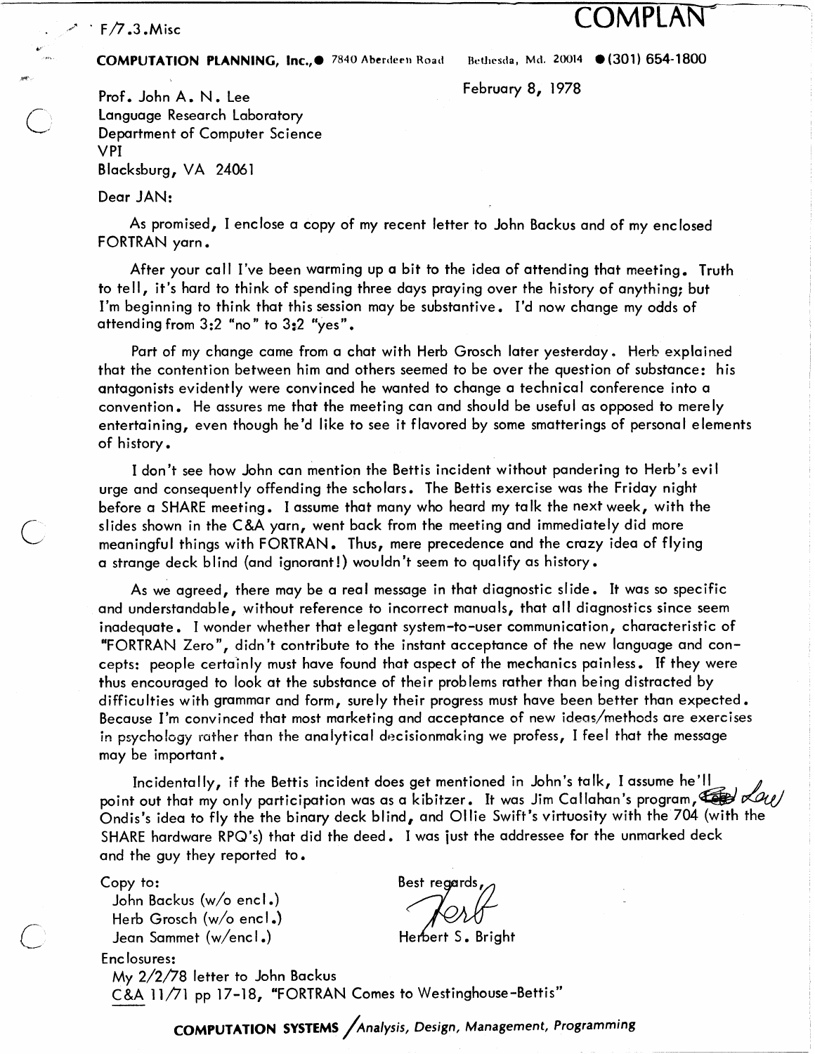## **COMPLAN**  $\cdot$  F/7.3. Misc

**ii** 

@

### **COMPUTATION PLANNING, Inc.,.** 7840 Aberdeen Road Bethesda, Md. 20014 (301) 654-1800

- I

Prof. John A. N. Lee February 8, 1978 Language Research Laboratory Department of Computer Science v PI Blacksburg, VA 24061

Dear JAN:

As promised, I enclose a copy of my recent letter to John Backus and of my enclosed FORTRAN yarn.

After your call I've been warming up a bit to the idea of attending that meeting. Truth to tell, it's hard to think of spending three days praying over the history of anything; but I'm beginning to think that this session may be substantive. I'd now change my odds of attending from 3:2 "no" to 3:2 "yes".

Part of my change came from a chat with Herb Grosch later yesterday. Herb explained that the contention between him and others seemed to be over the question of substance: his antagonists evidently were convinced he wanted to change a technical conference into a convention. He assures me that the meeting can and should be useful as opposed to merely entertaining, even though he'd like to see it flavored by some smatterings of personal elements of history.

I don't see how John can mention the Bettis incident without pandering to Herb's evi I urge and consequently offending the scholars. The Bettis exercise was the Friday night before a SHARE meeting. I assume that many who heard my talk the next week, with the C slides shown in the **C&A** yarn, went back from the meeting and immediately did more meaningful things with FORTRAN. Thus, mere precedence and the crazy idea of flying a strange deck blind (and ignorant! ) wou ldn 't seem to qualify as history.

> As we agreed, there may be a real message in that diagnostic slide. **It** was so specific and understandable, without reference to incorrect manuals, that all diagnostics since seem<br>inadequate. I wonder whether that elegant system-to-user communication, characteristic of \*FORTRAN Zero", didn't contribute to the instant acceptance of the new language and concepts: people certainly must have found that aspect of the mechanics painless. If they were thus encouraged to look at the substance of their problems rather than being distracted by difficulties with grammar and form, surely their progress must have been better than expected. Because I'm convinced that most marketing and acceptance of new ideas/rnethods are exercises in psychology rather than the analytical decisionmaking we profess, I feel that the message may be important.

Incidentally, if the Bettis incident does get mentioned in John's talk, I assume he'll point out that my only participation was as a kibitzer. It was Jim Callahan's program,  $\overline{\text{Gav}}$   $\mathcal{A}u$ Ondis's idea to fly the the binary deck blind, and Ollie Swift's virtuosity with the 704 (with the SHARE hardware RPQ's) that did the deed. I was just the addressee for the unmarked deck and the guy they reported to.

Copy to:

Enc losures:

John Backus (w/o encl.) Herb Grosch  $(w/o$  encl.) Jean Sammet (w/encl.)

Best regards

 $My 2/2/78$  letter to John Backus - C&A 1 1/71 pp 17-1 8, 'FORTRAN Comes to Westinghouse-Bettis"

**COMPUTATION SYSTEMS** / Analysis, Design, Management, Programming